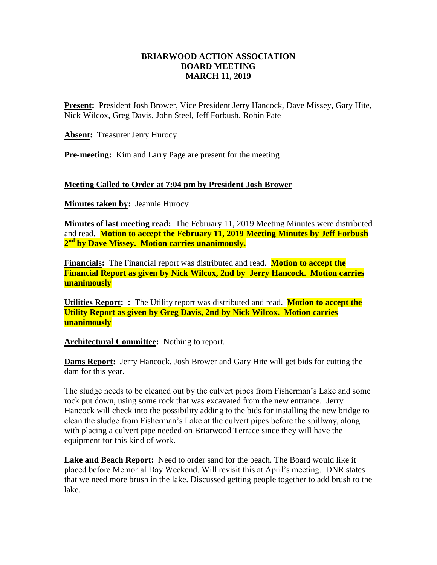### **BRIARWOOD ACTION ASSOCIATION BOARD MEETING MARCH 11, 2019**

**Present:** President Josh Brower, Vice President Jerry Hancock, Dave Missey, Gary Hite, Nick Wilcox, Greg Davis, John Steel, Jeff Forbush, Robin Pate

**Absent:** Treasurer Jerry Hurocy

**Pre-meeting:** Kim and Larry Page are present for the meeting

### **Meeting Called to Order at 7:04 pm by President Josh Brower**

**Minutes taken by: Jeannie Hurocy** 

**Minutes of last meeting read:** The February 11, 2019 Meeting Minutes were distributed and read. **Motion to accept the February 11, 2019 Meeting Minutes by Jeff Forbush 2 nd by Dave Missey. Motion carries unanimously.**

**Financials:** The Financial report was distributed and read. **Motion to accept the Financial Report as given by Nick Wilcox, 2nd by Jerry Hancock. Motion carries unanimously** 

**Utilities Report: :** The Utility report was distributed and read. **Motion to accept the Utility Report as given by Greg Davis, 2nd by Nick Wilcox. Motion carries unanimously** 

Architectural Committee: Nothing to report.

**Dams Report:** Jerry Hancock, Josh Brower and Gary Hite will get bids for cutting the dam for this year.

The sludge needs to be cleaned out by the culvert pipes from Fisherman's Lake and some rock put down, using some rock that was excavated from the new entrance. Jerry Hancock will check into the possibility adding to the bids for installing the new bridge to clean the sludge from Fisherman's Lake at the culvert pipes before the spillway, along with placing a culvert pipe needed on Briarwood Terrace since they will have the equipment for this kind of work.

**Lake and Beach Report:** Need to order sand for the beach. The Board would like it placed before Memorial Day Weekend. Will revisit this at April's meeting. DNR states that we need more brush in the lake. Discussed getting people together to add brush to the lake.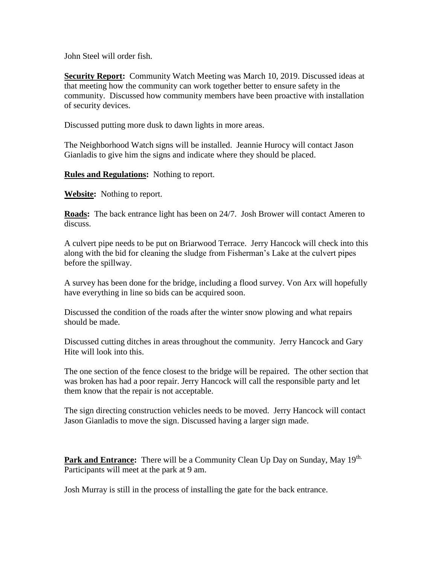John Steel will order fish.

**Security Report:** Community Watch Meeting was March 10, 2019. Discussed ideas at that meeting how the community can work together better to ensure safety in the community. Discussed how community members have been proactive with installation of security devices.

Discussed putting more dusk to dawn lights in more areas.

The Neighborhood Watch signs will be installed. Jeannie Hurocy will contact Jason Gianladis to give him the signs and indicate where they should be placed.

**Rules and Regulations:** Nothing to report.

**Website:** Nothing to report.

**Roads:** The back entrance light has been on 24/7. Josh Brower will contact Ameren to discuss.

A culvert pipe needs to be put on Briarwood Terrace. Jerry Hancock will check into this along with the bid for cleaning the sludge from Fisherman's Lake at the culvert pipes before the spillway.

A survey has been done for the bridge, including a flood survey. Von Arx will hopefully have everything in line so bids can be acquired soon.

Discussed the condition of the roads after the winter snow plowing and what repairs should be made.

Discussed cutting ditches in areas throughout the community. Jerry Hancock and Gary Hite will look into this.

The one section of the fence closest to the bridge will be repaired. The other section that was broken has had a poor repair. Jerry Hancock will call the responsible party and let them know that the repair is not acceptable.

The sign directing construction vehicles needs to be moved. Jerry Hancock will contact Jason Gianladis to move the sign. Discussed having a larger sign made.

Park and Entrance: There will be a Community Clean Up Day on Sunday, May 19<sup>th.</sup> Participants will meet at the park at 9 am.

Josh Murray is still in the process of installing the gate for the back entrance.